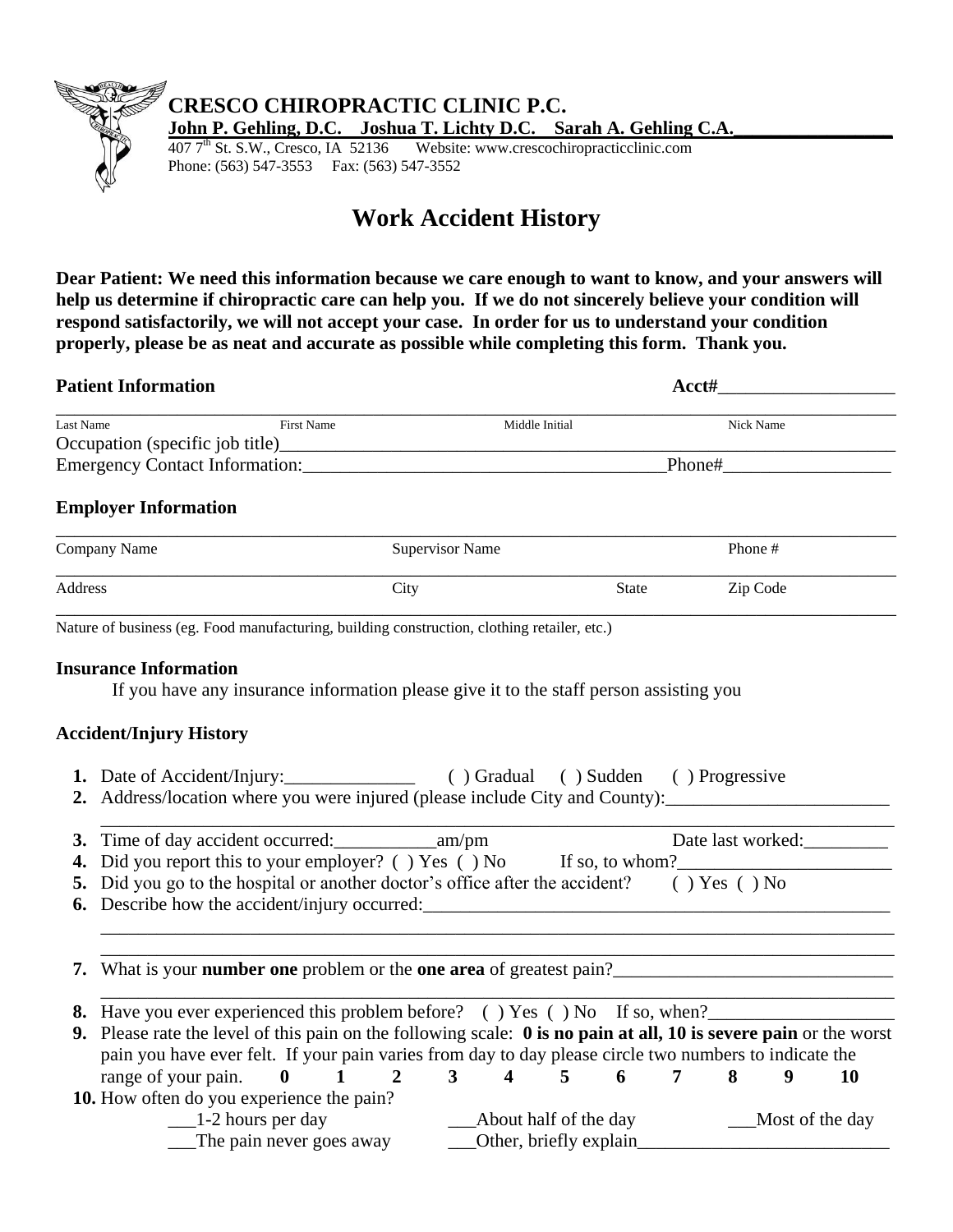

## **CRESCO CHIROPRACTIC CLINIC P.C.**

**John P. Gehling, D.C.** Joshua T. Lichty D.C. Sarah A. Gehling C.A. 407 7<sup>th</sup> St. S.W., Cresco, IA 52136 Website: www.crescochiropracticclinic.com

Website: www.crescochiropracticclinic.com Phone: (563) 547-3553 Fax: (563) 547-3552

## **Work Accident History**

**Dear Patient: We need this information because we care enough to want to know, and your answers will help us determine if chiropractic care can help you. If we do not sincerely believe your condition will respond satisfactorily, we will not accept your case. In order for us to understand your condition properly, please be as neat and accurate as possible while completing this form. Thank you.** 

|                  | <b>Patient Information</b>                                                                                                                                                                                                                    |                        | Acct#                                           |                                                                                                                      |                 |  |  |  |  |
|------------------|-----------------------------------------------------------------------------------------------------------------------------------------------------------------------------------------------------------------------------------------------|------------------------|-------------------------------------------------|----------------------------------------------------------------------------------------------------------------------|-----------------|--|--|--|--|
| <b>Last Name</b> | First Name                                                                                                                                                                                                                                    |                        | Middle Initial                                  | Nick Name                                                                                                            |                 |  |  |  |  |
|                  |                                                                                                                                                                                                                                               |                        |                                                 |                                                                                                                      |                 |  |  |  |  |
|                  |                                                                                                                                                                                                                                               |                        |                                                 |                                                                                                                      |                 |  |  |  |  |
|                  | <b>Employer Information</b>                                                                                                                                                                                                                   |                        |                                                 |                                                                                                                      |                 |  |  |  |  |
|                  | Company Name                                                                                                                                                                                                                                  | <b>Supervisor Name</b> |                                                 | Phone #                                                                                                              |                 |  |  |  |  |
| Address          |                                                                                                                                                                                                                                               | City                   | <b>State</b>                                    | Zip Code                                                                                                             |                 |  |  |  |  |
|                  | Nature of business (eg. Food manufacturing, building construction, clothing retailer, etc.)                                                                                                                                                   |                        |                                                 |                                                                                                                      |                 |  |  |  |  |
|                  | <b>Insurance Information</b><br>If you have any insurance information please give it to the staff person assisting you<br><b>Accident/Injury History</b>                                                                                      |                        |                                                 |                                                                                                                      |                 |  |  |  |  |
|                  | 1. Date of Accident/Injury: ( ) Gradual ( ) Sudden ( ) Progressive<br>2. Address/location where you were injured (please include City and County): _______________________                                                                    |                        |                                                 |                                                                                                                      |                 |  |  |  |  |
|                  |                                                                                                                                                                                                                                               |                        |                                                 | Date last worked:                                                                                                    |                 |  |  |  |  |
|                  | 4. Did you report this to your employer? () Yes () No If so, to whom?                                                                                                                                                                         |                        |                                                 |                                                                                                                      |                 |  |  |  |  |
|                  | 5. Did you go to the hospital or another doctor's office after the accident? () Yes () No                                                                                                                                                     |                        |                                                 |                                                                                                                      |                 |  |  |  |  |
|                  | 7. What is your number one problem or the one area of greatest pain?<br><u>Letting</u> manufactured a set of the one area of greatest pain?<br><u>Letting manufactured and the set of the set of the set of the set of the set of the set</u> |                        |                                                 | <u> 1989 - Johann Stein, mars an deutscher Stein und der Stein und der Stein und der Stein und der Stein und der</u> |                 |  |  |  |  |
|                  | 8. Have you ever experienced this problem before? () Yes () No If so, when?                                                                                                                                                                   |                        |                                                 |                                                                                                                      |                 |  |  |  |  |
|                  | 9. Please rate the level of this pain on the following scale: 0 is no pain at all, 10 is severe pain or the worst<br>pain you have ever felt. If your pain varies from day to day please circle two numbers to indicate the                   |                        |                                                 |                                                                                                                      |                 |  |  |  |  |
|                  | range of your pain. $\mathbf{0} \quad 1$                                                                                                                                                                                                      | $\overline{2}$         | $3 \quad 4 \quad 5 \quad 6$                     | $7\phantom{.}$<br>8<br>9                                                                                             | <b>10</b>       |  |  |  |  |
|                  | 10. How often do you experience the pain?<br>$\frac{1}{2}$ hours per day<br>The pain never goes away                                                                                                                                          |                        | About half of the day<br>Other, briefly explain |                                                                                                                      | Most of the day |  |  |  |  |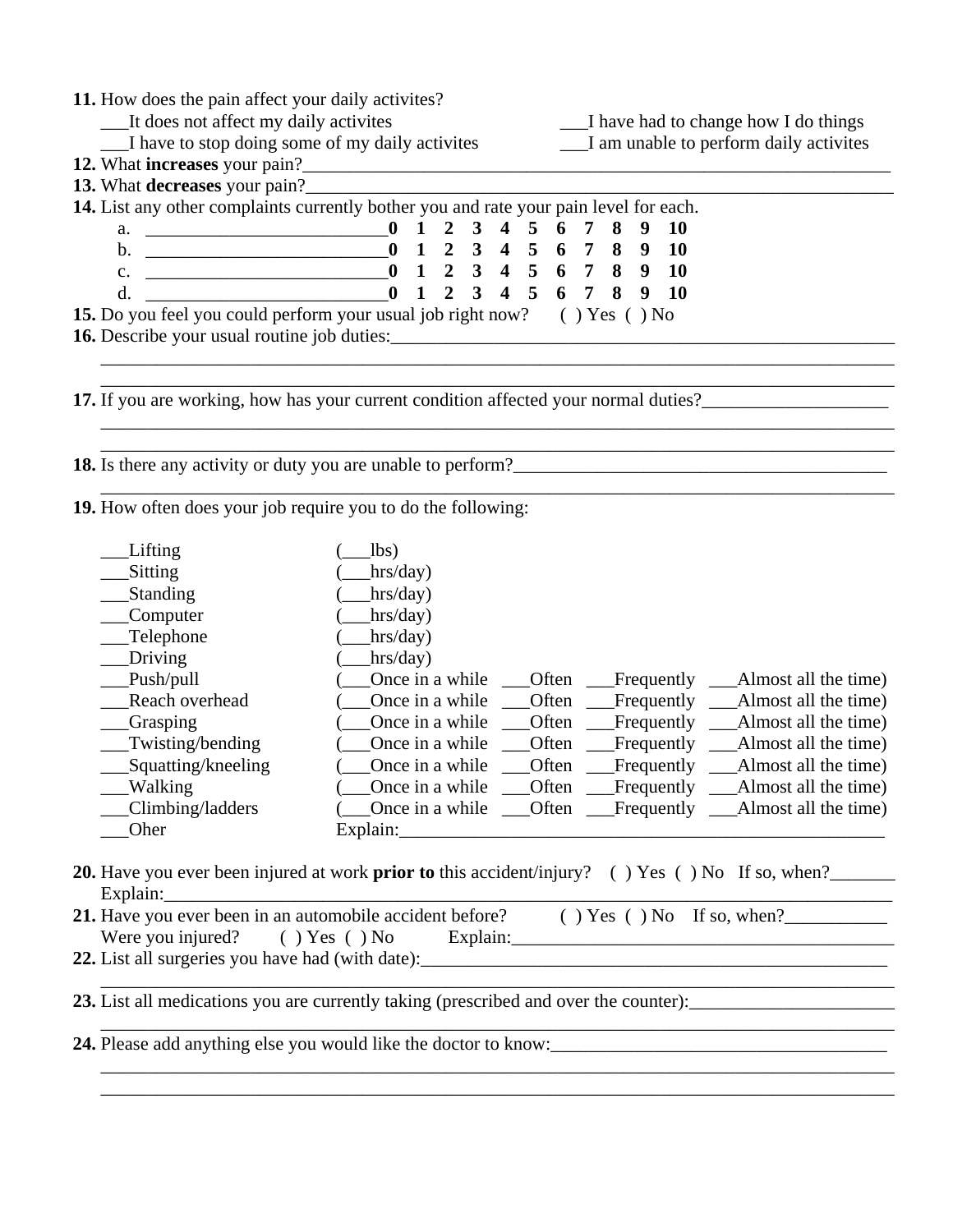| 11. How does the pain affect your daily activites?<br>It does not affect my daily activites                                                                                                                                           |                                                 |                |                |                         |                | I have had to change how I do things |                                        |   |   |                                     |                                                                |
|---------------------------------------------------------------------------------------------------------------------------------------------------------------------------------------------------------------------------------------|-------------------------------------------------|----------------|----------------|-------------------------|----------------|--------------------------------------|----------------------------------------|---|---|-------------------------------------|----------------------------------------------------------------|
|                                                                                                                                                                                                                                       | I have to stop doing some of my daily activites |                |                |                         |                |                                      | I am unable to perform daily activites |   |   |                                     |                                                                |
| 12. What increases your pain?<br><u>Letting and</u> the same state of the state of the state of the state of the state of the state of the state of the state of the state of the state of the state of the state of the state of the |                                                 |                |                |                         |                |                                      |                                        |   |   |                                     |                                                                |
| 13. What decreases your pain?                                                                                                                                                                                                         |                                                 |                |                |                         |                |                                      |                                        |   |   |                                     |                                                                |
| 14. List any other complaints currently bother you and rate your pain level for each.                                                                                                                                                 |                                                 |                |                |                         |                |                                      |                                        |   |   |                                     |                                                                |
| a. $\qquad \qquad \qquad 0 \quad 1$                                                                                                                                                                                                   |                                                 | $\overline{2}$ | 3 <sup>7</sup> | $\overline{4}$          | 5              | 6                                    | 7                                      | 8 | 9 | <b>10</b>                           |                                                                |
| $\mathbf{b}$ .                                                                                                                                                                                                                        |                                                 | $\overline{2}$ | 3 4 5 6 7      |                         |                |                                      |                                        | 8 | 9 | <b>10</b>                           |                                                                |
| $C_{\bullet}$                                                                                                                                                                                                                         | $-0$ 1 2 3 4 5 6 7                              |                |                |                         |                |                                      |                                        | 8 | 9 | <b>10</b>                           |                                                                |
| d.<br><u> 1980 - Johann Barn, mars eta bainar eta baina eta baina eta baina eta baina eta baina eta baina eta baina e</u>                                                                                                             | $\mathbf{0}$<br>$\mathbf{1}$                    | $\overline{2}$ | $\overline{3}$ | $\overline{\mathbf{4}}$ | $\overline{5}$ | 6                                    | $\overline{7}$                         | 8 | 9 | <b>10</b>                           |                                                                |
| 15. Do you feel you could perform your usual job right now? () Yes () No                                                                                                                                                              |                                                 |                |                |                         |                |                                      |                                        |   |   |                                     |                                                                |
| 16. Describe your usual routine job duties:                                                                                                                                                                                           |                                                 |                |                |                         |                |                                      |                                        |   |   |                                     |                                                                |
|                                                                                                                                                                                                                                       |                                                 |                |                |                         |                |                                      |                                        |   |   |                                     |                                                                |
|                                                                                                                                                                                                                                       |                                                 |                |                |                         |                |                                      |                                        |   |   |                                     |                                                                |
| 17. If you are working, how has your current condition affected your normal duties?_________________                                                                                                                                  |                                                 |                |                |                         |                |                                      |                                        |   |   |                                     |                                                                |
|                                                                                                                                                                                                                                       |                                                 |                |                |                         |                |                                      |                                        |   |   |                                     |                                                                |
|                                                                                                                                                                                                                                       |                                                 |                |                |                         |                |                                      |                                        |   |   |                                     |                                                                |
|                                                                                                                                                                                                                                       |                                                 |                |                |                         |                |                                      |                                        |   |   |                                     |                                                                |
|                                                                                                                                                                                                                                       |                                                 |                |                |                         |                |                                      |                                        |   |   |                                     |                                                                |
| 19. How often does your job require you to do the following:                                                                                                                                                                          |                                                 |                |                |                         |                |                                      |                                        |   |   |                                     |                                                                |
| Lifting                                                                                                                                                                                                                               | 1 <sub>bs</sub>                                 |                |                |                         |                |                                      |                                        |   |   |                                     |                                                                |
| Sitting                                                                                                                                                                                                                               | hrs/day)                                        |                |                |                         |                |                                      |                                        |   |   |                                     |                                                                |
| Standing                                                                                                                                                                                                                              | hrs/day)                                        |                |                |                         |                |                                      |                                        |   |   |                                     |                                                                |
| Computer                                                                                                                                                                                                                              | hrs/day)                                        |                |                |                         |                |                                      |                                        |   |   |                                     |                                                                |
| Telephone                                                                                                                                                                                                                             | hrs/day)                                        |                |                |                         |                |                                      |                                        |   |   |                                     |                                                                |
| Driving                                                                                                                                                                                                                               | hrs/day)                                        |                |                |                         |                |                                      |                                        |   |   |                                     |                                                                |
| Push/pull                                                                                                                                                                                                                             | Once in a while                                 |                |                |                         |                | Often                                |                                        |   |   | Frequently $\equiv$                 | Almost all the time)                                           |
| Reach overhead                                                                                                                                                                                                                        | Once in a while                                 |                |                |                         |                | Often                                |                                        |   |   | Frequently $\overline{\phantom{a}}$ | Almost all the time)                                           |
| <b>Grasping</b>                                                                                                                                                                                                                       | Once in a while                                 |                |                |                         |                | Often                                |                                        |   |   | Frequently _                        | Almost all the time)                                           |
| Twisting/bending                                                                                                                                                                                                                      | Once in a while                                 |                |                |                         |                | Often                                |                                        |   |   | Frequently                          | Almost all the time)                                           |
| Squatting/kneeling                                                                                                                                                                                                                    | Once in a while                                 |                |                |                         |                | Often                                |                                        |   |   | Frequently                          | Almost all the time)                                           |
| __Walking                                                                                                                                                                                                                             |                                                 |                |                |                         |                |                                      |                                        |   |   |                                     | Once in a while ___Often ___Frequently ___Almost all the time) |
| Climbing/ladders                                                                                                                                                                                                                      |                                                 |                |                |                         |                |                                      |                                        |   |   |                                     |                                                                |
|                                                                                                                                                                                                                                       |                                                 |                |                |                         |                |                                      |                                        |   |   |                                     |                                                                |
| Oher                                                                                                                                                                                                                                  |                                                 |                |                |                         |                |                                      |                                        |   |   |                                     |                                                                |
|                                                                                                                                                                                                                                       |                                                 |                |                |                         |                |                                      |                                        |   |   |                                     |                                                                |
| <b>20.</b> Have you ever been injured at work <b>prior to</b> this accident/injury? () Yes () No If so, when?                                                                                                                         |                                                 |                |                |                         |                |                                      |                                        |   |   |                                     |                                                                |
|                                                                                                                                                                                                                                       |                                                 |                |                |                         |                |                                      |                                        |   |   |                                     |                                                                |
| 21. Have you ever been in an automobile accident before? $($ $)$ Yes $($ $)$ No If so, when?                                                                                                                                          |                                                 |                |                |                         |                |                                      |                                        |   |   |                                     |                                                                |
| Were you injured?                                                                                                                                                                                                                     |                                                 |                |                |                         |                |                                      |                                        |   |   |                                     | $( ) Yes ( ) No$ Explain:                                      |
|                                                                                                                                                                                                                                       |                                                 |                |                |                         |                |                                      |                                        |   |   |                                     |                                                                |

\_\_\_\_\_\_\_\_\_\_\_\_\_\_\_\_\_\_\_\_\_\_\_\_\_\_\_\_\_\_\_\_\_\_\_\_\_\_\_\_\_\_\_\_\_\_\_\_\_\_\_\_\_\_\_\_\_\_\_\_\_\_\_\_\_\_\_\_\_\_\_\_\_\_\_\_\_\_\_\_\_\_\_\_\_

\_\_\_\_\_\_\_\_\_\_\_\_\_\_\_\_\_\_\_\_\_\_\_\_\_\_\_\_\_\_\_\_\_\_\_\_\_\_\_\_\_\_\_\_\_\_\_\_\_\_\_\_\_\_\_\_\_\_\_\_\_\_\_\_\_\_\_\_\_\_\_\_\_\_\_\_\_\_\_\_\_\_\_\_\_

\_\_\_\_\_\_\_\_\_\_\_\_\_\_\_\_\_\_\_\_\_\_\_\_\_\_\_\_\_\_\_\_\_\_\_\_\_\_\_\_\_\_\_\_\_\_\_\_\_\_\_\_\_\_\_\_\_\_\_\_\_\_\_\_\_\_\_\_\_\_\_\_\_\_\_\_\_\_\_\_\_\_\_\_\_

**23.** List all medications you are currently taking (prescribed and over the counter): \_\_\_\_\_\_\_\_\_\_\_\_\_\_\_\_\_\_\_\_\_\_\_\_\_

**24.** Please add anything else you would like the doctor to know:\_\_\_\_\_\_\_\_\_\_\_\_\_\_\_\_\_\_\_\_\_\_\_\_\_\_\_\_\_\_\_\_\_\_\_\_